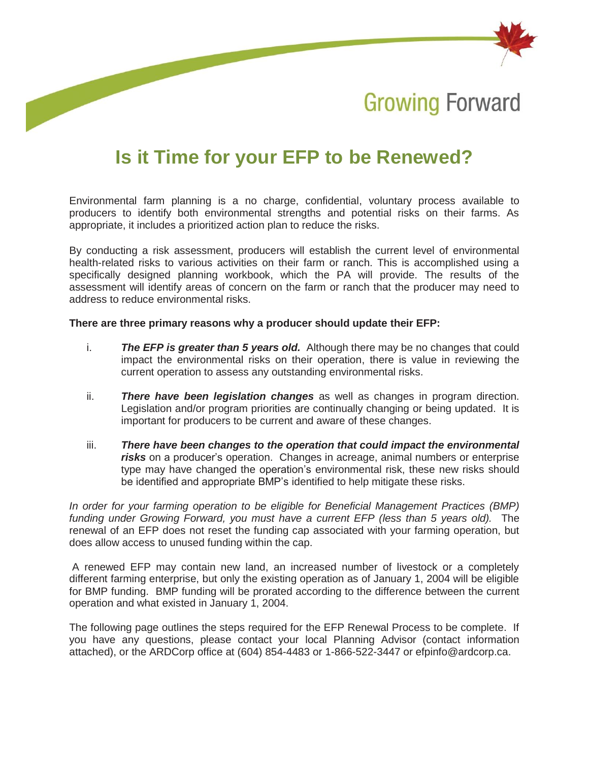

**Growing Forward** 

# **Is it Time for your EFP to be Renewed?**

Environmental farm planning is a no charge, confidential, voluntary process available to producers to identify both environmental strengths and potential risks on their farms. As appropriate, it includes a prioritized action plan to reduce the risks.

By conducting a risk assessment, producers will establish the current level of environmental health-related risks to various activities on their farm or ranch. This is accomplished using a specifically designed planning workbook, which the PA will provide. The results of the assessment will identify areas of concern on the farm or ranch that the producer may need to address to reduce environmental risks.

#### **There are three primary reasons why a producer should update their EFP:**

- i. *The EFP is greater than 5 years old.* Although there may be no changes that could impact the environmental risks on their operation, there is value in reviewing the current operation to assess any outstanding environmental risks.
- ii. *There have been legislation changes* as well as changes in program direction. Legislation and/or program priorities are continually changing or being updated. It is important for producers to be current and aware of these changes.
- iii. *There have been changes to the operation that could impact the environmental risks* on a producer's operation. Changes in acreage, animal numbers or enterprise type may have changed the operation's environmental risk, these new risks should be identified and appropriate BMP's identified to help mitigate these risks.

*In order for your farming operation to be eligible for Beneficial Management Practices (BMP)*  funding under Growing Forward, you must have a current EFP (less than 5 years old). The renewal of an EFP does not reset the funding cap associated with your farming operation, but does allow access to unused funding within the cap.

A renewed EFP may contain new land, an increased number of livestock or a completely different farming enterprise, but only the existing operation as of January 1, 2004 will be eligible for BMP funding. BMP funding will be prorated according to the difference between the current operation and what existed in January 1, 2004.

The following page outlines the steps required for the EFP Renewal Process to be complete. If you have any questions, please contact your local Planning Advisor (contact information attached), or the ARDCorp office at (604) 854-4483 or 1-866-522-3447 or [efpinfo@ardcorp.ca.](mailto:efpinfo@ardcorp.ca)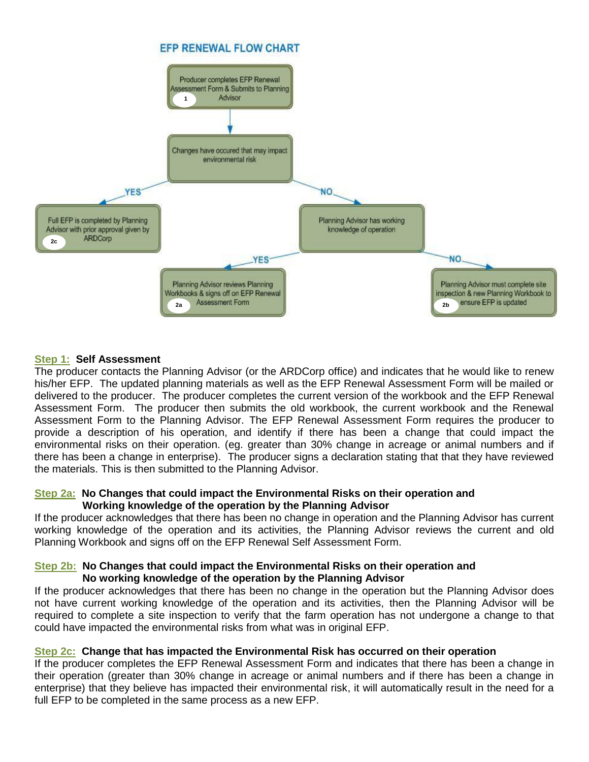

## **Step 1: Self Assessment**

The producer contacts the Planning Advisor (or the ARDCorp office) and indicates that he would like to renew his/her EFP. The updated planning materials as well as the EFP Renewal Assessment Form will be mailed or delivered to the producer. The producer completes the current version of the workbook and the EFP Renewal Assessment Form. The producer then submits the old workbook, the current workbook and the Renewal Assessment Form to the Planning Advisor. The EFP Renewal Assessment Form requires the producer to provide a description of his operation, and identify if there has been a change that could impact the environmental risks on their operation. (eg. greater than 30% change in acreage or animal numbers and if there has been a change in enterprise). The producer signs a declaration stating that that they have reviewed the materials. This is then submitted to the Planning Advisor.

#### **Step 2a: No Changes that could impact the Environmental Risks on their operation and Working knowledge of the operation by the Planning Advisor**

If the producer acknowledges that there has been no change in operation and the Planning Advisor has current working knowledge of the operation and its activities, the Planning Advisor reviews the current and old Planning Workbook and signs off on the EFP Renewal Self Assessment Form.

#### **Step 2b: No Changes that could impact the Environmental Risks on their operation and No working knowledge of the operation by the Planning Advisor**

If the producer acknowledges that there has been no change in the operation but the Planning Advisor does not have current working knowledge of the operation and its activities, then the Planning Advisor will be required to complete a site inspection to verify that the farm operation has not undergone a change to that could have impacted the environmental risks from what was in original EFP.

## **Step 2c: Change that has impacted the Environmental Risk has occurred on their operation**

If the producer completes the EFP Renewal Assessment Form and indicates that there has been a change in their operation (greater than 30% change in acreage or animal numbers and if there has been a change in enterprise) that they believe has impacted their environmental risk, it will automatically result in the need for a full EFP to be completed in the same process as a new EFP.